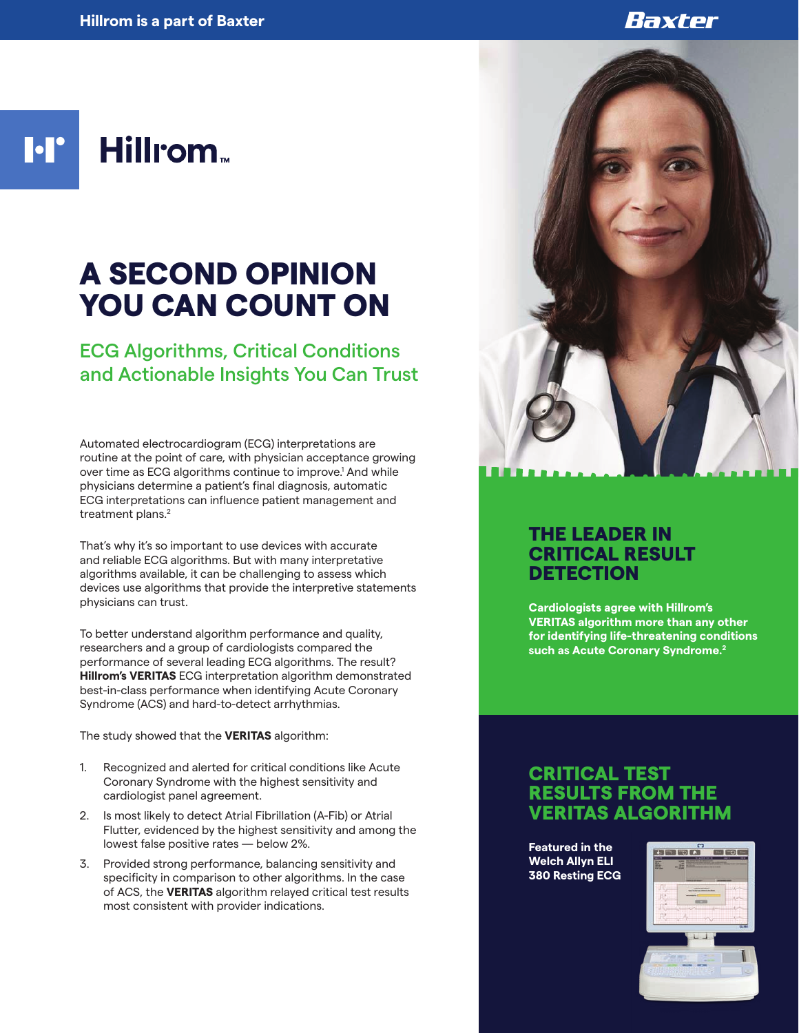## Baxter

**M Hillrom**<sub>w</sub>

# A SECOND OPINION YOU CAN COUNT ON

ECG Algorithms, Critical Conditions and Actionable Insights You Can Trust

Automated electrocardiogram (ECG) interpretations are routine at the point of care, with physician acceptance growing over time as ECG algorithms continue to improve.<sup>1</sup> And while physicians determine a patient's final diagnosis, automatic ECG interpretations can influence patient management and treatment plans.<sup>2</sup>

That's why it's so important to use devices with accurate and reliable ECG algorithms. But with many interpretative algorithms available, it can be challenging to assess which devices use algorithms that provide the interpretive statements physicians can trust.

To better understand algorithm performance and quality, researchers and a group of cardiologists compared the performance of several leading ECG algorithms. The result? **Hillrom's VERITAS** ECG interpretation algorithm demonstrated best-in-class performance when identifying Acute Coronary Syndrome (ACS) and hard-to-detect arrhythmias.

The study showed that the **VERITAS** algorithm:

- 1. Recognized and alerted for critical conditions like Acute Coronary Syndrome with the highest sensitivity and cardiologist panel agreement.
- 2. Is most likely to detect Atrial Fibrillation (A-Fib) or Atrial Flutter, evidenced by the highest sensitivity and among the lowest false positive rates — below 2%.
- 3. Provided strong performance, balancing sensitivity and specificity in comparison to other algorithms. In the case of ACS, the **VERITAS** algorithm relayed critical test results most consistent with provider indications.



## THE LEADER IN CRITICAL RESULT **DETECTION**

**Cardiologists agree with Hillrom's VERITAS algorithm more than any other for identifying life-threatening conditions such as Acute Coronary Syndrome.2**

#### CRITICAL TEST RESULTS FROM THE VERITAS ALGORITHM

**Featured in the Welch Allyn ELI 380 Resting ECG**